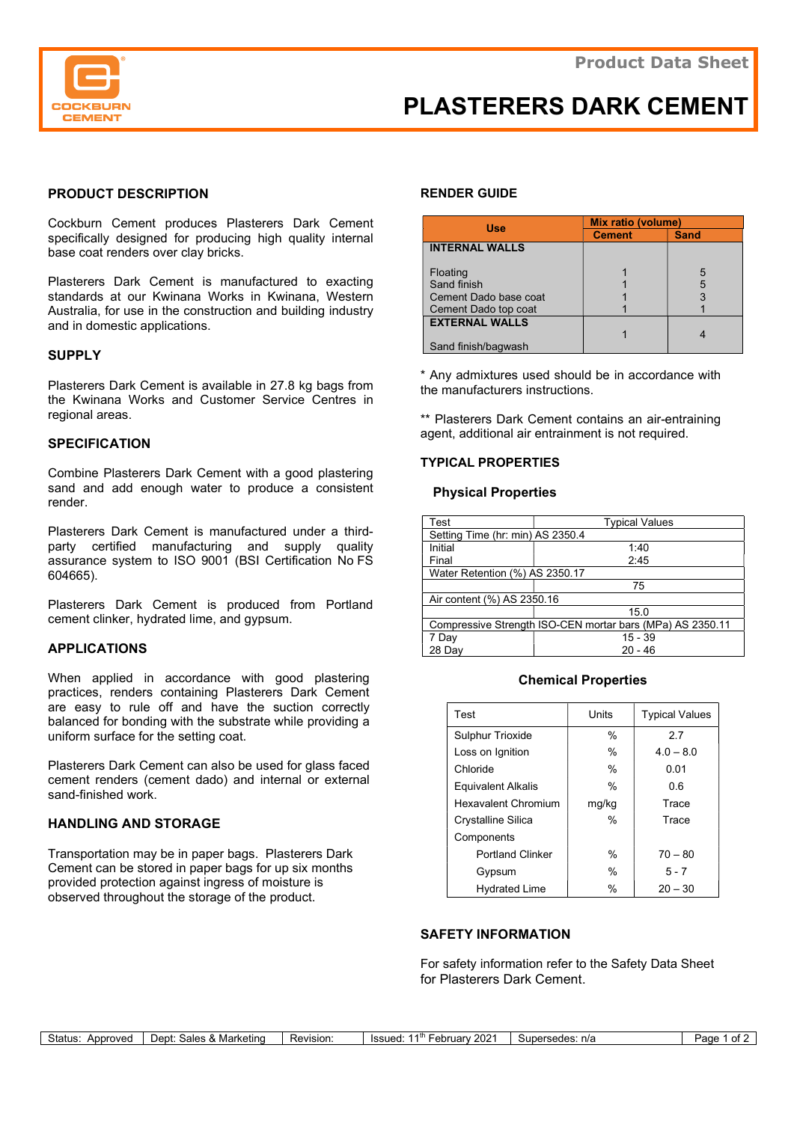

# PLASTERERS DARK CEMENT

# PRODUCT DESCRIPTION

Cockburn Cement produces Plasterers Dark Cement specifically designed for producing high quality internal base coat renders over clay bricks.

Plasterers Dark Cement is manufactured to exacting standards at our Kwinana Works in Kwinana, Western Australia, for use in the construction and building industry and in domestic applications.

### **SUPPLY**

Plasterers Dark Cement is available in 27.8 kg bags from the Kwinana Works and Customer Service Centres in regional areas.

### **SPECIFICATION**

Combine Plasterers Dark Cement with a good plastering sand and add enough water to produce a consistent render.

Plasterers Dark Cement is manufactured under a thirdparty certified manufacturing and supply quality assurance system to ISO 9001 (BSI Certification No FS 604665).

Plasterers Dark Cement is produced from Portland cement clinker, hydrated lime, and gypsum.

## APPLICATIONS

When applied in accordance with good plastering practices, renders containing Plasterers Dark Cement are easy to rule off and have the suction correctly balanced for bonding with the substrate while providing a uniform surface for the setting coat.

Plasterers Dark Cement can also be used for glass faced cement renders (cement dado) and internal or external sand-finished work.

# HANDLING AND STORAGE

Transportation may be in paper bags. Plasterers Dark Cement can be stored in paper bags for up six months provided protection against ingress of moisture is observed throughout the storage of the product.

# RENDER GUIDE

| <b>Use</b>            | <b>Mix ratio (volume)</b> |             |
|-----------------------|---------------------------|-------------|
|                       | <b>Cement</b>             | <b>Sand</b> |
| <b>INTERNAL WALLS</b> |                           |             |
|                       |                           |             |
| Floating              |                           | 5           |
| Sand finish           |                           | 5           |
| Cement Dado base coat |                           |             |
| Cement Dado top coat  |                           |             |
| <b>EXTERNAL WALLS</b> |                           |             |
|                       |                           |             |
| Sand finish/bagwash   |                           |             |

\* Any admixtures used should be in accordance with the manufacturers instructions.

\*\* Plasterers Dark Cement contains an air-entraining agent, additional air entrainment is not required.

## TYPICAL PROPERTIES

### Physical Properties

| Test                                                      | <b>Typical Values</b> |  |  |  |
|-----------------------------------------------------------|-----------------------|--|--|--|
| Setting Time (hr: min) AS 2350.4                          |                       |  |  |  |
| Initial                                                   | 1:40                  |  |  |  |
| Final                                                     | 2:45                  |  |  |  |
| Water Retention (%) AS 2350.17                            |                       |  |  |  |
|                                                           | 75                    |  |  |  |
| Air content (%) AS 2350.16                                |                       |  |  |  |
|                                                           | 15.0                  |  |  |  |
| Compressive Strength ISO-CEN mortar bars (MPa) AS 2350.11 |                       |  |  |  |
| 7 Day                                                     | $15 - 39$             |  |  |  |
| 28 Dav                                                    | $20 - 46$             |  |  |  |

### Chemical Properties

| Test                       | Units | <b>Typical Values</b> |  |
|----------------------------|-------|-----------------------|--|
| <b>Sulphur Trioxide</b>    | $\%$  | 27                    |  |
| Loss on Ignition           | $\%$  | $4.0 - 8.0$           |  |
| Chloride                   | %     | 0.01                  |  |
| <b>Equivalent Alkalis</b>  | $\%$  | 0 6                   |  |
| <b>Hexavalent Chromium</b> | mg/kg | Trace                 |  |
| Crystalline Silica         | $\%$  | Trace                 |  |
| Components                 |       |                       |  |
| <b>Portland Clinker</b>    | $\%$  | $70 - 80$             |  |
| Gypsum                     | $\%$  | $5 - 7$               |  |
| <b>Hydrated Lime</b>       | %     | $20 - 30$             |  |

# SAFETY INFORMATION

For safety information refer to the Safety Data Sheet for Plasterers Dark Cement.